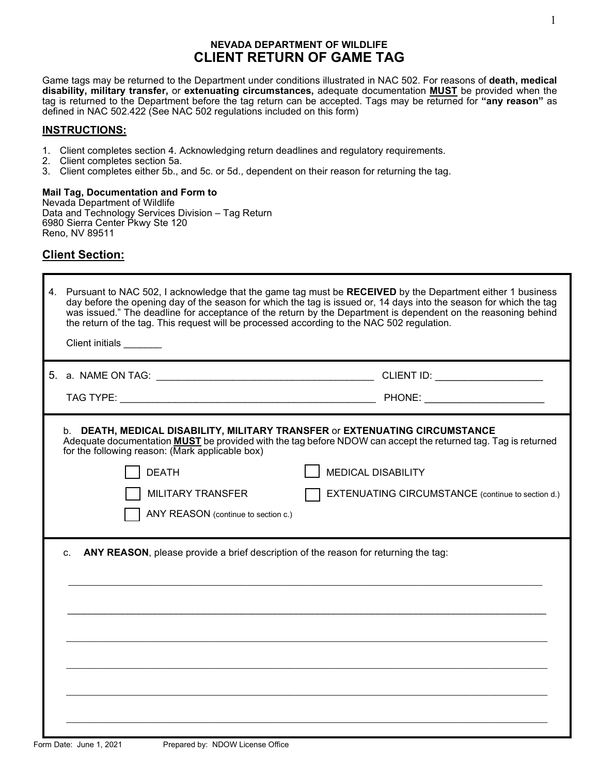## **NEVADA DEPARTMENT OF WILDLIFE CLIENT RETURN OF GAME TAG**

Game tags may be returned to the Department under conditions illustrated in NAC 502. For reasons of **death, medical disability, military transfer,** or **extenuating circumstances,** adequate documentation **MUST** be provided when the tag is returned to the Department before the tag return can be accepted. Tags may be returned for **"any reason"** as defined in NAC 502.422 (See NAC 502 regulations included on this form)

## **INSTRUCTIONS:**

- 1. Client completes section 4. Acknowledging return deadlines and regulatory requirements.
- 2. Client completes section 5a.
- 3. Client completes either 5b., and 5c. or 5d., dependent on their reason for returning the tag.

**Mail Tag, Documentation and Form to**  Nevada Department of Wildlife Data and Technology Services Division – Tag Return 6980 Sierra Center Pkwy Ste 120 Reno, NV 89511

# **Client Section:**

Г

| 4. | Pursuant to NAC 502, I acknowledge that the game tag must be RECEIVED by the Department either 1 business<br>day before the opening day of the season for which the tag is issued or, 14 days into the season for which the tag<br>was issued." The deadline for acceptance of the return by the Department is dependent on the reasoning behind<br>the return of the tag. This request will be processed according to the NAC 502 regulation.<br>Client initials _______ |                                                                                       |  |
|----|---------------------------------------------------------------------------------------------------------------------------------------------------------------------------------------------------------------------------------------------------------------------------------------------------------------------------------------------------------------------------------------------------------------------------------------------------------------------------|---------------------------------------------------------------------------------------|--|
|    |                                                                                                                                                                                                                                                                                                                                                                                                                                                                           |                                                                                       |  |
|    |                                                                                                                                                                                                                                                                                                                                                                                                                                                                           |                                                                                       |  |
|    | b. DEATH, MEDICAL DISABILITY, MILITARY TRANSFER or EXTENUATING CIRCUMSTANCE<br>Adequate documentation <b>MUST</b> be provided with the tag before NDOW can accept the returned tag. Tag is returned<br>for the following reason: (Mark applicable box)<br><b>DEATH</b><br>MILITARY TRANSFER<br>ANY REASON (continue to section c.)                                                                                                                                        | <b>MEDICAL DISABILITY</b><br><b>EXTENUATING CIRCUMSTANCE</b> (continue to section d.) |  |
|    | ANY REASON, please provide a brief description of the reason for returning the tag:<br>C.                                                                                                                                                                                                                                                                                                                                                                                 |                                                                                       |  |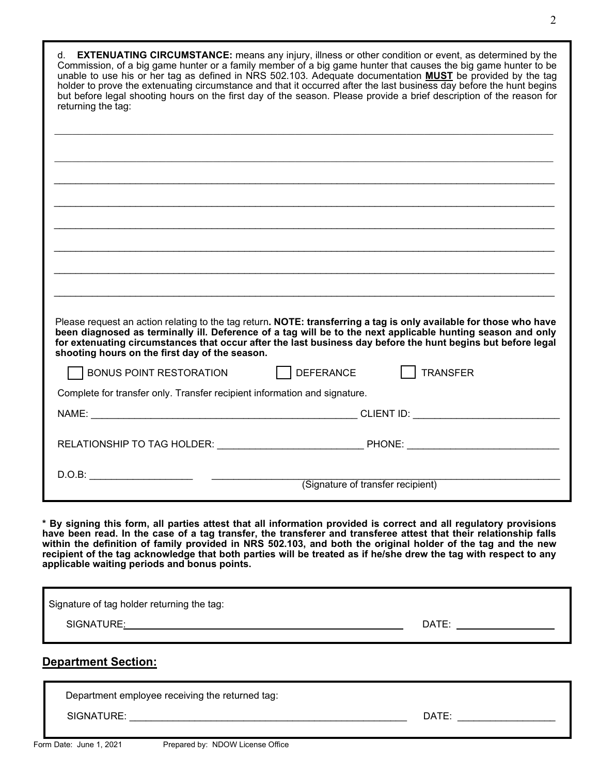| d. <b>EXTENUATING CIRCUMSTANCE:</b> means any injury, illness or other condition or event, as determined by the<br>Commission, of a big game hunter or a family member of a big game hunter that causes the big game hunter to be<br>unable to use his or her tag as defined in NRS 502.103. Adequate documentation <b>MUST</b> be provided by the tag                                                                                                                                                                     |                                                                                                                                                                                                                                |
|----------------------------------------------------------------------------------------------------------------------------------------------------------------------------------------------------------------------------------------------------------------------------------------------------------------------------------------------------------------------------------------------------------------------------------------------------------------------------------------------------------------------------|--------------------------------------------------------------------------------------------------------------------------------------------------------------------------------------------------------------------------------|
| holder to prove the extenuating circumstance and that it occurred after the last business day before the hunt begins<br>but before legal shooting hours on the first day of the season. Please provide a brief description of the reason for<br>returning the tag:                                                                                                                                                                                                                                                         |                                                                                                                                                                                                                                |
|                                                                                                                                                                                                                                                                                                                                                                                                                                                                                                                            |                                                                                                                                                                                                                                |
|                                                                                                                                                                                                                                                                                                                                                                                                                                                                                                                            |                                                                                                                                                                                                                                |
|                                                                                                                                                                                                                                                                                                                                                                                                                                                                                                                            |                                                                                                                                                                                                                                |
|                                                                                                                                                                                                                                                                                                                                                                                                                                                                                                                            |                                                                                                                                                                                                                                |
|                                                                                                                                                                                                                                                                                                                                                                                                                                                                                                                            |                                                                                                                                                                                                                                |
|                                                                                                                                                                                                                                                                                                                                                                                                                                                                                                                            |                                                                                                                                                                                                                                |
| Please request an action relating to the tag return. NOTE: transferring a tag is only available for those who have<br>been diagnosed as terminally ill. Deference of a tag will be to the next applicable hunting season and only<br>for extenuating circumstances that occur after the last business day before the hunt begins but before legal<br>shooting hours on the first day of the season.                                                                                                                        |                                                                                                                                                                                                                                |
| BONUS POINT RESTORATION DEFERANCE                                                                                                                                                                                                                                                                                                                                                                                                                                                                                          | TRANSFER                                                                                                                                                                                                                       |
| Complete for transfer only. Transfer recipient information and signature.                                                                                                                                                                                                                                                                                                                                                                                                                                                  |                                                                                                                                                                                                                                |
|                                                                                                                                                                                                                                                                                                                                                                                                                                                                                                                            |                                                                                                                                                                                                                                |
|                                                                                                                                                                                                                                                                                                                                                                                                                                                                                                                            |                                                                                                                                                                                                                                |
|                                                                                                                                                                                                                                                                                                                                                                                                                                                                                                                            | (Signature of transfer recipient)                                                                                                                                                                                              |
| * By signing this form, all parties attest that all information provided is correct and all regulatory provisions<br>have been read. In the case of a tag transfer, the transferer and transferee attest that their relationship falls<br>within the definition of family provided in NRS 502.103, and both the original holder of the tag and the new<br>recipient of the tag acknowledge that both parties will be treated as if he/she drew the tag with respect to any<br>applicable waiting periods and bonus points. |                                                                                                                                                                                                                                |
| Signature of tag holder returning the tag:                                                                                                                                                                                                                                                                                                                                                                                                                                                                                 |                                                                                                                                                                                                                                |
|                                                                                                                                                                                                                                                                                                                                                                                                                                                                                                                            | DATE: ______________________                                                                                                                                                                                                   |
| <b>Department Section:</b>                                                                                                                                                                                                                                                                                                                                                                                                                                                                                                 |                                                                                                                                                                                                                                |
| Department employee receiving the returned tag:                                                                                                                                                                                                                                                                                                                                                                                                                                                                            |                                                                                                                                                                                                                                |
|                                                                                                                                                                                                                                                                                                                                                                                                                                                                                                                            | DATE: the contract of the contract of the contract of the contract of the contract of the contract of the contract of the contract of the contract of the contract of the contract of the contract of the contract of the cont |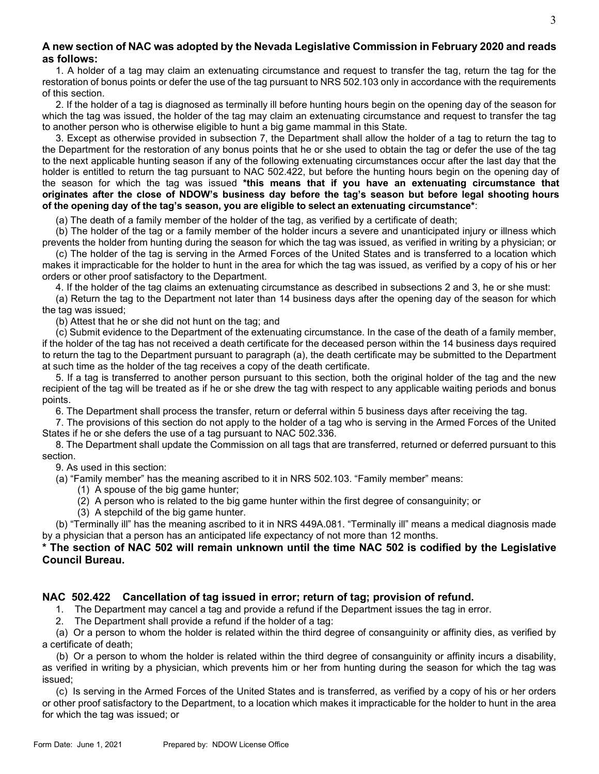## **A new section of NAC was adopted by the Nevada Legislative Commission in February 2020 and reads as follows:**

1. A holder of a tag may claim an extenuating circumstance and request to transfer the tag, return the tag for the restoration of bonus points or defer the use of the tag pursuant to NRS 502.103 only in accordance with the requirements of this section.

2. If the holder of a tag is diagnosed as terminally ill before hunting hours begin on the opening day of the season for which the tag was issued, the holder of the tag may claim an extenuating circumstance and request to transfer the tag to another person who is otherwise eligible to hunt a big game mammal in this State.

3. Except as otherwise provided in subsection 7, the Department shall allow the holder of a tag to return the tag to the Department for the restoration of any bonus points that he or she used to obtain the tag or defer the use of the tag to the next applicable hunting season if any of the following extenuating circumstances occur after the last day that the holder is entitled to return the tag pursuant to NAC 502.422, but before the hunting hours begin on the opening day of the season for which the tag was issued **\*this means that if you have an extenuating circumstance that originates after the close of NDOW's business day before the tag's season but before legal shooting hours of the opening day of the tag's season, you are eligible to select an extenuating circumstance\***:

(a) The death of a family member of the holder of the tag, as verified by a certificate of death;

(b) The holder of the tag or a family member of the holder incurs a severe and unanticipated injury or illness which prevents the holder from hunting during the season for which the tag was issued, as verified in writing by a physician; or

(c) The holder of the tag is serving in the Armed Forces of the United States and is transferred to a location which makes it impracticable for the holder to hunt in the area for which the tag was issued, as verified by a copy of his or her orders or other proof satisfactory to the Department.

4. If the holder of the tag claims an extenuating circumstance as described in subsections 2 and 3, he or she must:

(a) Return the tag to the Department not later than 14 business days after the opening day of the season for which the tag was issued;

(b) Attest that he or she did not hunt on the tag; and

(c) Submit evidence to the Department of the extenuating circumstance. In the case of the death of a family member, if the holder of the tag has not received a death certificate for the deceased person within the 14 business days required to return the tag to the Department pursuant to paragraph (a), the death certificate may be submitted to the Department at such time as the holder of the tag receives a copy of the death certificate.

5. If a tag is transferred to another person pursuant to this section, both the original holder of the tag and the new recipient of the tag will be treated as if he or she drew the tag with respect to any applicable waiting periods and bonus points.

6. The Department shall process the transfer, return or deferral within 5 business days after receiving the tag.

7. The provisions of this section do not apply to the holder of a tag who is serving in the Armed Forces of the United States if he or she defers the use of a tag pursuant to NAC 502.336.

8. The Department shall update the Commission on all tags that are transferred, returned or deferred pursuant to this section.

9. As used in this section:

(a) "Family member" has the meaning ascribed to it in NRS 502.103. "Family member" means:

- (1) A spouse of the big game hunter;
- (2) A person who is related to the big game hunter within the first degree of consanguinity; or
- (3) A stepchild of the big game hunter.

(b) "Terminally ill" has the meaning ascribed to it in NRS 449A.081. "Terminally ill" means a medical diagnosis made by a physician that a person has an anticipated life expectancy of not more than 12 months.

## **\* The section of NAC 502 will remain unknown until the time NAC 502 is codified by the Legislative Council Bureau.**

## **NAC 502.422 Cancellation of tag issued in error; return of tag; provision of refund.**

1. The Department may cancel a tag and provide a refund if the Department issues the tag in error.

2. The Department shall provide a refund if the holder of a tag:

(a) Or a person to whom the holder is related within the third degree of consanguinity or affinity dies, as verified by a certificate of death;

(b) Or a person to whom the holder is related within the third degree of consanguinity or affinity incurs a disability, as verified in writing by a physician, which prevents him or her from hunting during the season for which the tag was issued;

(c) Is serving in the Armed Forces of the United States and is transferred, as verified by a copy of his or her orders or other proof satisfactory to the Department, to a location which makes it impracticable for the holder to hunt in the area for which the tag was issued; or